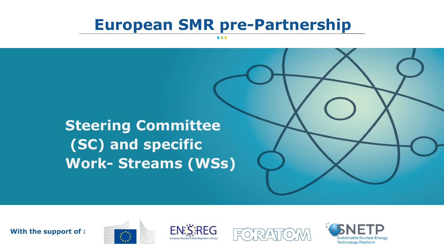# **European SMR pre-Partnership**

**Steering Committee (SC) and specific Work- Streams (WSs)**

**With the support of :** 





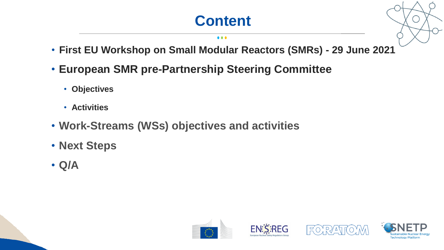# **Content**

#### $\bullet\bullet\bullet$

- **First EU Workshop on Small Modular Reactors (SMRs) - 29 June 2021**
- **European SMR pre-Partnership Steering Committee**
	- **Objectives**
	- **Activities**
- **Work-Streams (WSs) objectives and activities**
- **Next Steps**
- **Q/A**







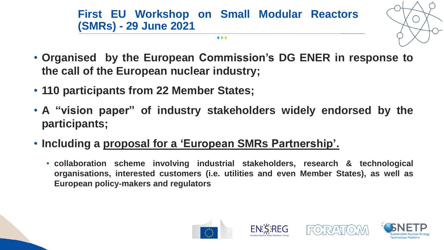**First EU Workshop on Small Modular Reactors (SMRs) - 29 June 2021**

 $\bullet$   $\bullet$   $\bullet$ 



- **Organised by the European Commission's DG ENER in response to the call of the European nuclear industry;**
- **110 participants from 22 Member States;**
- **A "vision paper" of industry stakeholders widely endorsed by the participants;**
- **Including a proposal for a 'European SMRs Partnership'.**
	- **collaboration scheme involving industrial stakeholders, research & technological organisations, interested customers (i.e. utilities and even Member States), as well as European policy-makers and regulators**







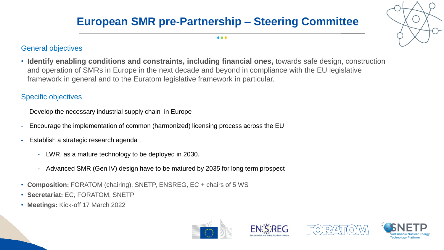## **European SMR pre-Partnership – Steering Committee**



#### General objectives

• **Identify enabling conditions and constraints, including financial ones,** towards safe design, construction and operation of SMRs in Europe in the next decade and beyond in compliance with the EU legislative framework in general and to the Euratom legislative framework in particular.

### Specific objectives

- Develop the necessary industrial supply chain in Europe
- Encourage the implementation of common (harmonized) licensing process across the EU
- Establish a strategic research agenda :
	- LWR, as a mature technology to be deployed in 2030.
	- Advanced SMR (Gen IV) design have to be matured by 2035 for long term prospect
- **Composition:** FORATOM (chairing), SNETP, ENSREG, EC + chairs of 5 WS
- **Secretariat:** EC, FORATOM, SNETP
- **Meetings:** Kick-off 17 March 2022







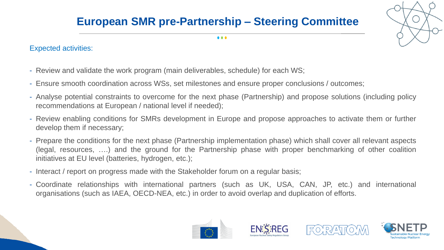## **European SMR pre-Partnership – Steering Committee**



 $\bullet\bullet\bullet$ 

### Expected activities:

- Review and validate the work program (main deliverables, schedule) for each WS;
- Ensure smooth coordination across WSs, set milestones and ensure proper conclusions / outcomes;
- Analyse potential constraints to overcome for the next phase (Partnership) and propose solutions (including policy recommendations at European / national level if needed);
- Review enabling conditions for SMRs development in Europe and propose approaches to activate them or further develop them if necessary;
- Prepare the conditions for the next phase (Partnership implementation phase) which shall cover all relevant aspects (legal, resources, ….) and the ground for the Partnership phase with proper benchmarking of other coalition initiatives at EU level (batteries, hydrogen, etc.);
- Interact / report on progress made with the Stakeholder forum on a regular basis;
- Coordinate relationships with international partners (such as UK, USA, CAN, JP, etc.) and international organisations (such as IAEA, OECD-NEA, etc.) in order to avoid overlap and duplication of efforts.







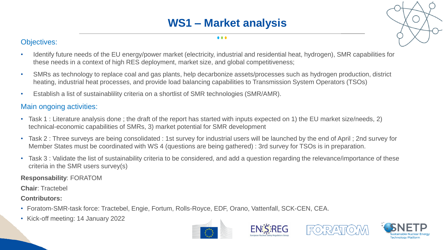## **WS1 – Market analysis**

#### $\bullet\bullet\bullet$

#### Objectives:

- Identify future needs of the EU energy/power market (electricity, industrial and residential heat, hydrogen), SMR capabilities for these needs in a context of high RES deployment, market size, and global competitiveness;
- SMRs as technology to replace coal and gas plants, help decarbonize assets/processes such as hydrogen production, district heating, industrial heat processes, and provide load balancing capabilities to Transmission System Operators (TSOs)
- Establish a list of sustainablility criteria on a shortlist of SMR technologies (SMR/AMR).

### Main ongoing activities:

- Task 1 : Literature analysis done ; the draft of the report has started with inputs expected on 1) the EU market size/needs, 2) technical-economic capabilities of SMRs, 3) market potential for SMR development
- Task 2 : Three surveys are being consolidated : 1st survey for industrial users will be launched by the end of April ; 2nd survey for Member States must be coordinated with WS 4 (questions are being gathered) : 3rd survey for TSOs is in preparation.
- Task 3 : Validate the list of sustainability criteria to be considered, and add a question regarding the relevance/importance of these criteria in the SMR users survey(s)

#### **Responsability**: FORATOM

**Chair**: Tractebel

#### **Contributors:**

- Foratom-SMR-task force: Tractebel, Engie, Fortum, Rolls-Royce, EDF, Orano, Vattenfall, SCK-CEN, CEA.
- Kick-off meeting: 14 January 2022







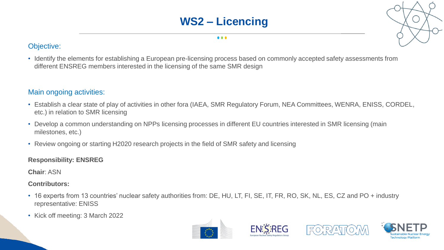### **WS2 – Licencing**

#### $\bullet\bullet\bullet$

### Objective:

• Identify the elements for establishing a European pre-licensing process based on commonly accepted safety assessments from different ENSREG members interested in the licensing of the same SMR design

#### Main ongoing activities:

- Establish a clear state of play of activities in other fora (IAEA, SMR Regulatory Forum, NEA Committees, WENRA, ENISS, CORDEL, etc.) in relation to SMR licensing
- Develop a common understanding on NPPs licensing processes in different EU countries interested in SMR licensing (main milestones, etc.)
- Review ongoing or starting H2020 research projects in the field of SMR safety and licensing

#### **Responsibility: ENSREG**

**Chair**: ASN

#### **Contributors:**

- 16 experts from 13 countries' nuclear safety authorities from: DE, HU, LT, FI, SE, IT, FR, RO, SK, NL, ES, CZ and PO + industry representative: ENISS
- Kick off meeting: 3 March 2022







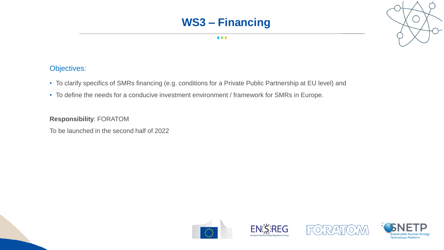### **WS3 – Financing**



### Objectives:

- To clarify specifics of SMRs financing (e.g. conditions for a Private Public Partnership at EU level) and
- To define the needs for a conducive investment environment / framework for SMRs in Europe.

#### **Responsibility**: FORATOM

To be launched in the second half of 2022









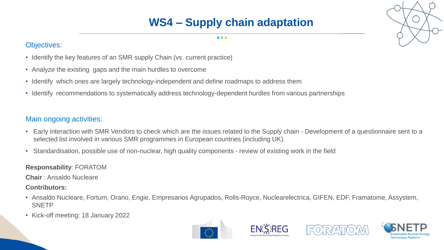## **WS4 – Supply chain adaptation**

#### $\bullet\bullet\bullet$

### Objectives:

- Identify the key features of an SMR supply Chain (vs. current practice)
- Analyze the existing gaps and the main hurdles to overcome
- Identify which ones are largely technology-independent and define roadmaps to address them
- Identify recommendations to systematically address technology-dependent hurdles from various partnerships

### Main ongoing activities:

- Early interaction with SMR Vendors to check which are the issues related to the Supply chain Development of a questionnaire sent to a selected list involved in various SMR programmes in European countries (including UK).
- Standardisation, possible use of non-nuclear, high quality components review of existing work in the field

**Responsability**: FORATOM

**Chair** : Ansaldo Nucleare

**Contributors:**

- Ansaldo Nucleare, Fortum, Orano, Engie, Empresarios Agrupados, Rolls-Royce, Nuclearelectrica, GIFEN, EDF, Framatome, Assystem, **SNETP**
- Kick-off meeting: 18 January 2022









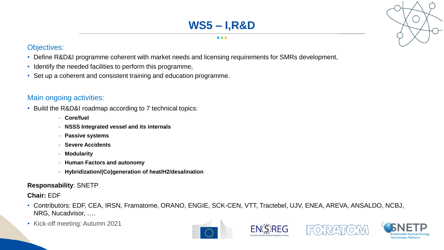## **WS5 – I,R&D**

#### . . .

#### Objectives:

- Define R&D&I programme coherent with market needs and licensing requirements for SMRs development,
- Identify the needed facilities to perform this programme,
- Set up a coherent and consistent training and education programme.

### Main ongoing activities:

- Build the R&D&I roadmap according to 7 technical topics:
	- **Core/fuel**
	- **NSSS Integrated vessel and its internals**
	- **Passive systems**
	- **Severe Accidents**
	- **Modularity**
	- **Human Factors and autonomy**
	- **Hybridization/(Co)generation of heat/H2/desalination**

#### **Responsability**: SNETP

#### **Chair:** EDF

- Contributors: EDF, CEA, IRSN, Framatome, ORANO, ENGIE, SCK-CEN, VTT, Tractebel, UJV, ENEA, AREVA, ANSALDO, NCBJ, NRG, Nucadvisor, ….
- Kick-off meeting: Autumn 2021







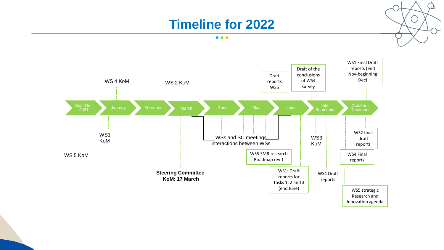## **Timeline for 2022**

<u>ի</u>

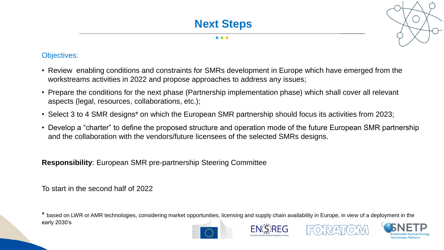#### Objectives:

- Review enabling conditions and constraints for SMRs development in Europe which have emerged from the workstreams activities in 2022 and propose approaches to address any issues;
- Prepare the conditions for the next phase (Partnership implementation phase) which shall cover all relevant aspects (legal, resources, collaborations, etc.);
- Select 3 to 4 SMR designs\* on which the European SMR partnership should focus its activities from 2023;
- Develop a "charter" to define the proposed structure and operation mode of the future European SMR partnership and the collaboration with the vendors/future licensees of the selected SMRs designs.

**Responsibility**: European SMR pre-partnership Steering Committee

To start in the second half of 2022

\* based on LWR or AMR technologies, considering market opportunities, licensing and supply chain availability in Europe, in view of a deployment in the early 2030's